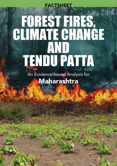# Forest Fires, CLIMATE CHANGE and Tendu Patrici **FACTSHEET**

An Evidence-based Analysis for Maharashtra

19<br>|<br>|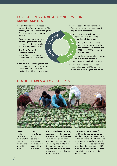## Forest fires – a vital concern for Maharashtra

 $z_{\lambda}$ 

 $\mathbf{z}$  $\mathbf{u}$ 

- Global temperature increase will exceed 1.5°C & 2°C during the 21st century, making extensive mitigation & adaptation action an urgent priority. C<sub>HANGE</sub>
- • Extreme weather events are becoming more frequent and intense – being closely witnessed by Maharashtra.
- The State Council for Climate Change is strengthening the state's commitment towards climate action.
- The issue of increasing forest fire incidences needs to be addressed explicitly due to its circular relationship with climate change.
- Carbon sequestration benefits of forests are being threatened by rising degradation/forest fires.
- • Over 40% of Maharashtra's forest area is extremely to moderately fire prone.  $\hat{C}$

 $\mathsf{u}$ s  $\rightarrow$  $\mathcal{F}$  $\dot{\delta}$  $\zeta$ 

- 34,025 forest fires were recorded in the state during the last forest fire season (Nov 2020-June 2021), about 10% of India's total.
- While tracking & alert systems have improved, control & management remains inadequate.
- • Limited understanding of specific responsible factors (95% humanmade) and restricting focused action.

## Tendu leaves & forest fires



Leaves of tendu or *Diospyros melanoxylon* tree are widely used for making bidis.

>300,000 mt of tendu leaves collected every year for producing >400 billion bidi sticks.

Uncontrolled fires frequently reported in tendu areas, as there is a traditional practice of using fires to cut back the young exposed shoots of tendu plant and to injure its roots so that they may coppice and produce fresh, green, good quality leaves for bidi rolling.

The practice has no scientific validity and is prohibited by law and discouraged by states, but is widely practiced. The Maharashtra government banned the collection and sale of tendu leaves from the forest fire affected areas in 2012. But data on instances of contract cancellation due to tendu fires is not available.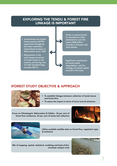## Exploring the tendu & forest fire linkage is important

- A prominent non-timber forest produce (NTFP) supported strongly by the state machinery – nationalized produce in Maharashtra since 1969
- • Maharashtra is the sixth-largest producer of tendu leaves in the country, producing over 3.5 lakh standard bags annually (2017).

Tendu is used primarily to manufacture bidis, estimated to cost the nation ₹800 billion annually in illnesses and early deaths.

Significant contribution to forest health degradation, and the ecology of western ghats housed in the state

### iFOREST Study Objective & Approach



- To establish linkages between collection of tendu leaves and forest fires
- To assess the impact in terms of burnt area & emissions

Focus on Chhattisgarh, Maharashtra & Odisha - 36 per cent of forest fires incidences, 35 per cent of tendu leaf collection





Utilize available satellite data on forest fires, vegetation type & emissions

Mix of mapping, spatial, statistical, modeling and back-of-theenvelope analysis tools

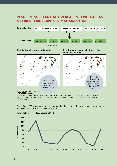### Result 1: Substantial overlap in tendu areas & forest fire points in Maharashtra



Distribution of tendu sample points Distribution of tendu-linked forest fire points for 2011-21



Source for forest fire points (FFPs): NASA's MODIS dataset

Source tendu sample points: P.S. Roy, S.P.S. Kushwaha, M.S.R. Murthy, A. Roy, M.C. Porwal, et al. 2012. Biodiversity Characterization at Landscape Level: National Assessment. Indian Institute of Remote Sensing, ISRO, Dehradun, India, ISBN: 81-901418-8-0

Tendu-linked FFPs observed to be fluctuating during the past decade, showing a decline around the mid-years (2013-2015) and then in 2019-2020



Tendu-linked forest fires during 2011-21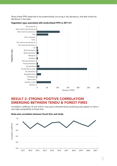Tendu-linked FFPs observed to be predominantly occurring in dry deciduous, and teak mixed dry deciduous in the state.



#### Vegetation type associated with tendu-linked FFPs in 2011-21

### Result 2: Strong positive correlation emerging between tendu & forest fires

Correlation coefficient of over 0.8 for most years indicated tendu producing areas appear to have a very high susceptibility to forest fires.

#### State-wise correlation between forest fires and tendu

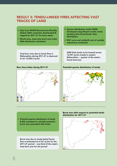## Result 3: Tendu-liNked fires affecting vast tracks of land

- • Data from MODIS Burned Area Monthly Global; 500m resolution downloaded & clipped for 2011-21 for focus states
- • Month-wise, state-wise burnt area index (BAI) distribution calculated

Total burn area due to forest fires in Maharashtra during 2011-21 is observed to be 13,284.5 sq km



- • Species distribution model (SDM) developed using Maxent model, tendu sample points & bioclimatic data (WorldClim)
- ROC curve and Jackknife test of variable importance conducted

SDM finds tendu to be located across 16,957 sq km mostly in eastern Maharashtra  $\sim$  quarter of the state's forest land area

#### Burn Area Index during 2011-21 Potential species distribution of tendu



• Potential species distribution of tendu & BAI overlayed to calculate potential burnt area associated with tendu

Burnt area due to tendu-linked forest fires is estimated at 4,767 sq km for the 2011-21 period ~ one-third of the state's total burn area for the period

#### Burnt area with respect to potential tendu distribution for 2011-21

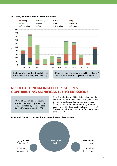

#### Year-wise, month-wise tendu-linked burnt area

burnt area is in March, April and May

Modeled tendu-linked burnt area highest in 2012, 2017 & 2018, at an 600 sq km to 900 sq km

## Result 4: Tendu-linked forest fires contributing significantly to emissions

3.9 mt of CO<sub>2</sub> emissions, equivalent to annual emissions by 1.6 million cars, dominated by tendu related fires in Maharashtra during 2021

Data & Methodology: CO emissions data from the TROPOMI on the Sentinel 5 Precursor (S5P) satellite, treated for background emissions, and clipped for tendu BAI for the three states. CO $_{\textrm{\tiny{2}}}$  estimated assuming modified combustion efficiency for forest fires with smouldering combustion for dry deciduous type of forest.

#### Estimated CO<sub>2</sub> emissions attributed to tendu-forest fires in 2021